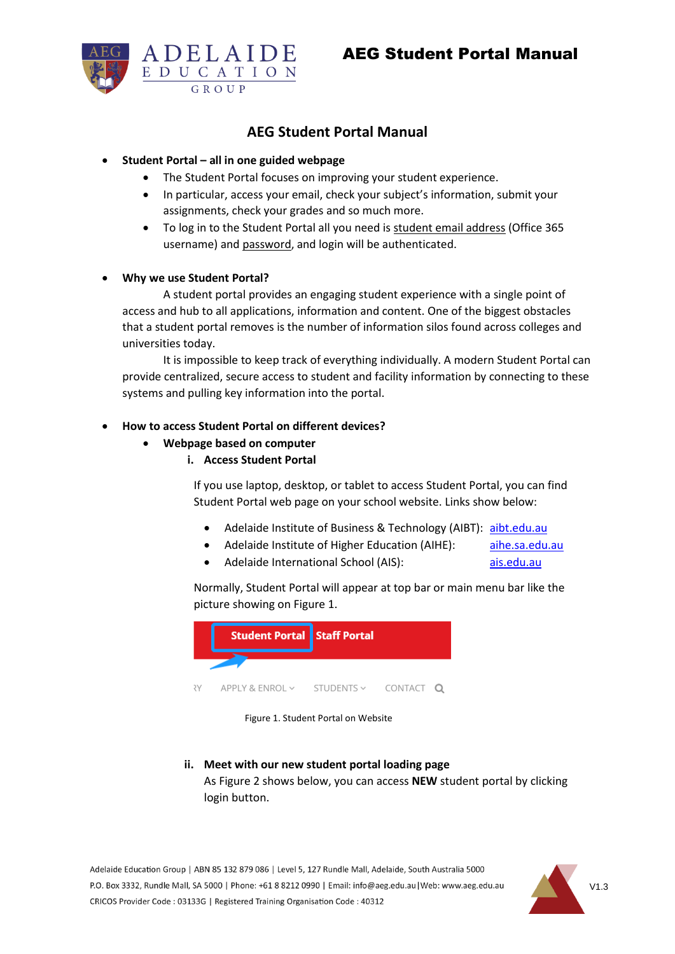

# **AEG Student Portal Manual**

### • **Student Portal – all in one guided webpage**

- The Student Portal focuses on improving your student experience.
- In particular, access your email, check your subject's information, submit your assignments, check your grades and so much more.
- To log in to the Student Portal all you need is student email address (Office 365 username) and password, and login will be authenticated.

#### • **Why we use Student Portal?**

A student portal provides an engaging student experience with a single point of access and hub to all applications, information and content. One of the biggest obstacles that a student portal removes is the number of information silos found across colleges and universities today.

It is impossible to keep track of everything individually. A modern Student Portal can provide centralized, secure access to student and facility information by connecting to these systems and pulling key information into the portal.

## • **How to access Student Portal on different devices?**

- **Webpage based on computer**
	- **i. Access Student Portal**

If you use laptop, desktop, or tablet to access Student Portal, you can find Student Portal web page on your school website. Links show below:

- Adelaide Institute of Business & Technology (AIBT): [aibt.edu.au](https://aibt.edu.au/)
- Adelaide Institute of Higher Education (AIHE): [aihe.sa.edu.au](https://aihe.sa.edu.au/)
- Adelaide International School (AIS): [ais.edu.au](https://ais.edu.au/)

Normally, Student Portal will appear at top bar or main menu bar like the picture showing on Figure 1.



Figure 1. Student Portal on Website

**ii. Meet with our new student portal loading page** As Figure 2 shows below, you can access **NEW** student portal by clicking login button.

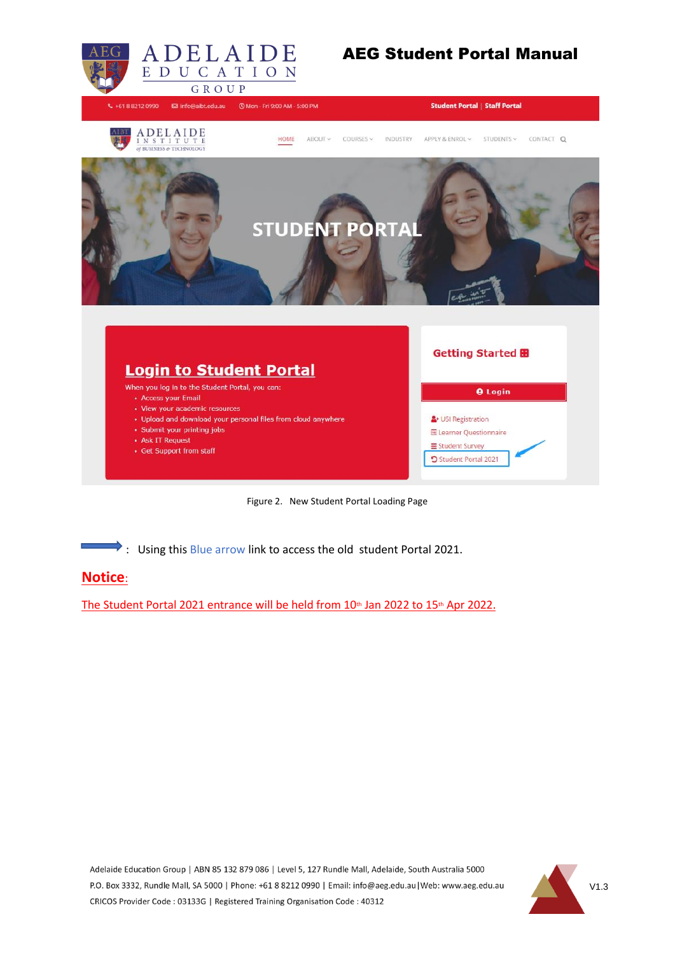

Figure 2. New Student Portal Loading Page

: Using this Blue arrow link to access the old student Portal 2021.

## **Notice**:

The Student Portal 2021 entrance will be held from  $10<sup>th</sup>$  Jan 2022 to  $15<sup>th</sup>$  Apr 2022.

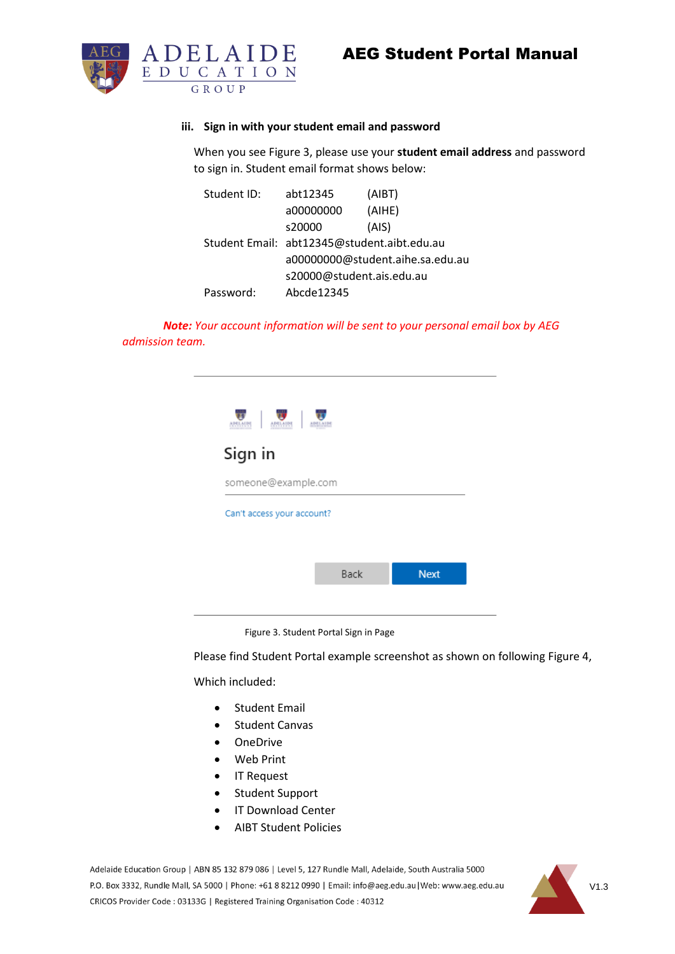

#### **iii. Sign in with your student email and password**

When you see Figure 3, please use your **student email address** and password to sign in. Student email format shows below:

| Student ID: | abt12345                                    | (AIBT) |  |  |  |  |
|-------------|---------------------------------------------|--------|--|--|--|--|
|             | a00000000                                   | (AIHE) |  |  |  |  |
|             | s20000                                      | (AIS)  |  |  |  |  |
|             | Student Email: abt12345@student.aibt.edu.au |        |  |  |  |  |
|             | a00000000@student.aihe.sa.edu.au            |        |  |  |  |  |
|             | s20000@student.ais.edu.au                   |        |  |  |  |  |
| Password:   | Abcde12345                                  |        |  |  |  |  |

*Note: Your account information will be sent to your personal email box by AEG admission team.* 

| 19511015<br>ARSLAUSS       |      |             |  |  |  |
|----------------------------|------|-------------|--|--|--|
| Sign in                    |      |             |  |  |  |
| someone@example.com        |      |             |  |  |  |
| Can't access your account? |      |             |  |  |  |
|                            |      |             |  |  |  |
|                            | Back | <b>Next</b> |  |  |  |
|                            |      |             |  |  |  |

Figure 3. Student Portal Sign in Page

Please find Student Portal example screenshot as shown on following Figure 4,

Which included:

- Student Email
- Student Canvas
- OneDrive
- Web Print
- IT Request
- Student Support
- IT Download Center
- AIBT Student Policies

Adelaide Education Group | ABN 85 132 879 086 | Level 5, 127 Rundle Mall, Adelaide, South Australia 5000 P.O. Box 3332, Rundle Mall, SA 5000 | Phone: +61 8 8212 0990 | Email: info@aeg.edu.au | Web: www.aeg.edu.au CRICOS Provider Code: 03133G | Registered Training Organisation Code: 40312

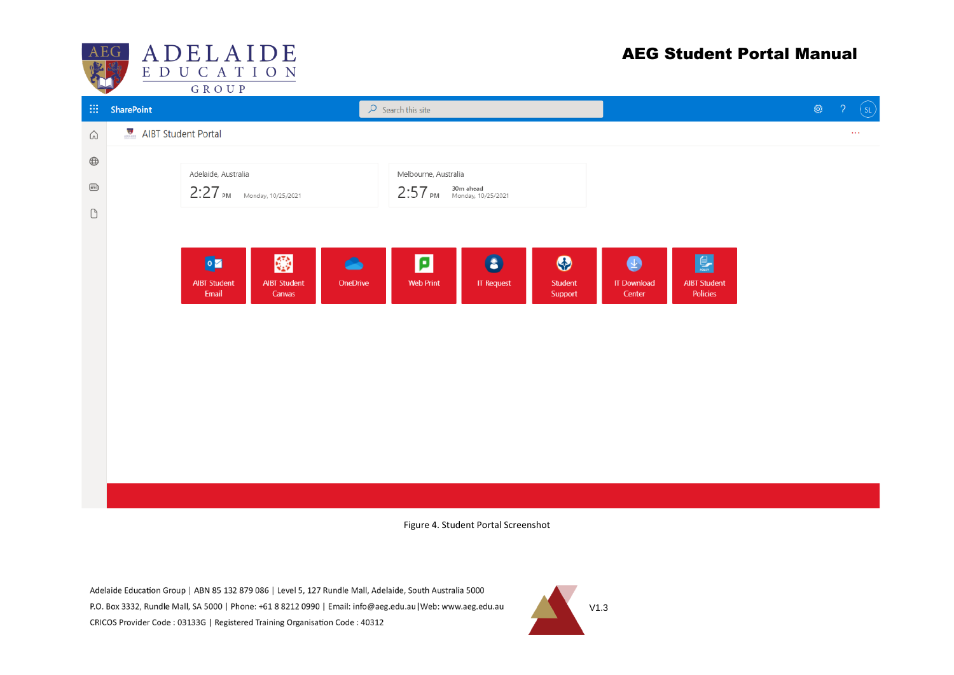

# AEG Student Portal Manual

|                                | $\blacksquare$          | <b>UNUUP</b>                   |                     |           |                       |                   |         |                    |                     |                                      |               |  |
|--------------------------------|-------------------------|--------------------------------|---------------------|-----------|-----------------------|-------------------|---------|--------------------|---------------------|--------------------------------------|---------------|--|
|                                | $\mathbf{H}$ SharePoint | $\mathcal{P}$ Search this site |                     |           |                       |                   |         | $\mathbb{Q}$       | っ                   | $\left( \mathsf{s}\mathsf{L}\right)$ |               |  |
| $\bigcirc$                     | AIBT Student Portal     |                                |                     |           |                       |                   |         |                    |                     |                                      | $\sim$ $\sim$ |  |
| $\bigoplus$                    |                         |                                |                     |           |                       |                   |         |                    |                     |                                      |               |  |
|                                |                         | Adelaide, Australia            |                     |           | Melbourne, Australia  |                   |         |                    |                     |                                      |               |  |
| $\textcircled{\scriptsize{1}}$ |                         | $2:27$ PM Monday, 10/25/2021   |                     |           | $2:57$ PM $30m$ ahead |                   |         |                    |                     |                                      |               |  |
| $\Box$                         |                         |                                |                     |           |                       |                   |         |                    |                     |                                      |               |  |
|                                |                         |                                |                     |           |                       |                   |         |                    |                     |                                      |               |  |
|                                |                         | $\bullet$                      | 総                   | $\bullet$ | ø                     | $\bullet$         | $\odot$ | $\bullet$          | $\mathbf{L}$        |                                      |               |  |
|                                |                         | <b>AIBT Student</b>            | <b>AIBT Student</b> | OneDrive  | <b>Web Print</b>      | <b>IT Request</b> | Student | <b>IT Download</b> | <b>AIBT Student</b> |                                      |               |  |
|                                |                         | Email                          | Canvas              |           |                       |                   | Support | Center             | Policies            |                                      |               |  |
|                                |                         |                                |                     |           |                       |                   |         |                    |                     |                                      |               |  |
|                                |                         |                                |                     |           |                       |                   |         |                    |                     |                                      |               |  |
|                                |                         |                                |                     |           |                       |                   |         |                    |                     |                                      |               |  |
|                                |                         |                                |                     |           |                       |                   |         |                    |                     |                                      |               |  |
|                                |                         |                                |                     |           |                       |                   |         |                    |                     |                                      |               |  |
|                                |                         |                                |                     |           |                       |                   |         |                    |                     |                                      |               |  |
|                                |                         |                                |                     |           |                       |                   |         |                    |                     |                                      |               |  |
|                                |                         |                                |                     |           |                       |                   |         |                    |                     |                                      |               |  |
|                                |                         |                                |                     |           |                       |                   |         |                    |                     |                                      |               |  |
|                                |                         |                                |                     |           |                       |                   |         |                    |                     |                                      |               |  |

Figure 4. Student Portal Screenshot

Adelaide Education Group | ABN 85 132 879 086 | Level 5, 127 Rundle Mall, Adelaide, South Australia 5000 P.O. Box 3332, Rundle Mall, SA 5000 | Phone: +61 8 8212 0990 | Email: info@aeg.edu.au | Web: www.aeg.edu.au CRICOS Provider Code: 03133G | Registered Training Organisation Code: 40312